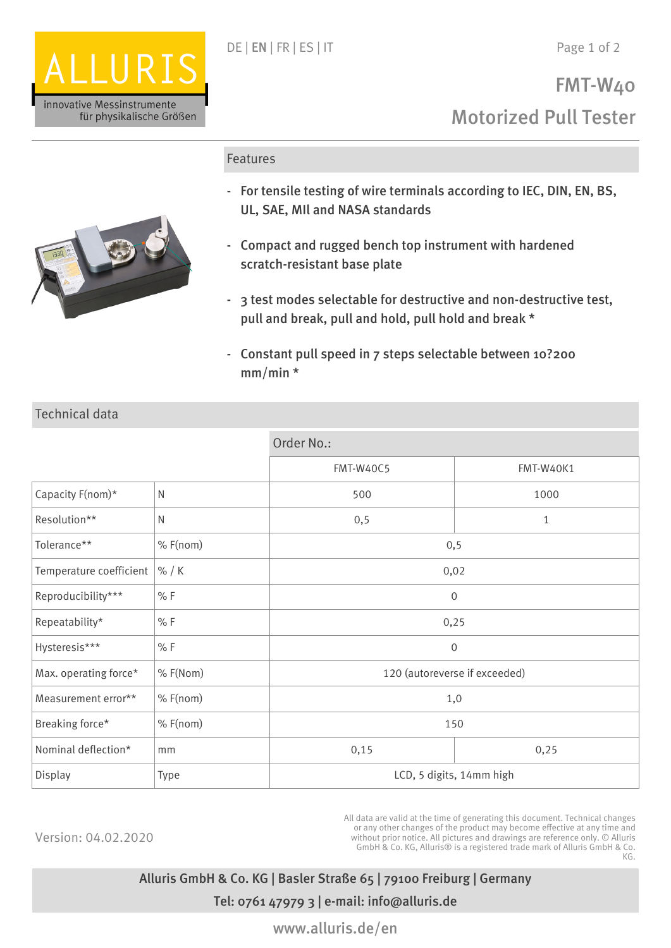

## Features



Technical data

- For tensile testing of wire terminals according to IEC, DIN, EN, BS, UL, SAE, MIl and NASA standards
- Compact and rugged bench top instrument with hardened scratch-resistant base plate
- 3 test modes selectable for destructive and non-destructive test, pull and break, pull and hold, pull hold and break \*
- Constant pull speed in 7 steps selectable between 10?200 mm/min \*

|                         |            | Order No.:                    |              |
|-------------------------|------------|-------------------------------|--------------|
|                         |            | <b>FMT-W40C5</b>              | FMT-W40K1    |
| Capacity F(nom)*        | ${\sf N}$  | 500                           | 1000         |
| Resolution**            | ${\sf N}$  | 0, 5                          | $\mathbf{1}$ |
| Tolerance**             | $%$ F(nom) | 0, 5                          |              |
| Temperature coefficient | % / K      | 0,02                          |              |
| Reproducibility***      | % F        | $\mathbf 0$                   |              |
| Repeatability*          | % F        | 0,25                          |              |
| Hysteresis***           | % F        | 0                             |              |
| Max. operating force*   | % F(Nom)   | 120 (autoreverse if exceeded) |              |
| Measurement error**     | $%$ F(nom) | 1,0                           |              |
| Breaking force*         | $%$ F(nom) | 150                           |              |
| Nominal deflection*     | mm         | 0,15                          | 0,25         |
| Display                 | Type       | LCD, 5 digits, 14mm high      |              |

Version: 04.02.2020

All data are valid at the time of generating this document. Technical changes or any other changes of the product may become effective at any time and without prior notice. All pictures and drawings are reference only. © Alluris GmbH & Co. KG, Alluris® is a registered trade mark of Alluris GmbH & Co. KG.

Alluris GmbH & Co. KG | Basler Straße 65 | 79100 Freiburg | Germany Tel: 0761 47979 3 | e-mail: info@alluris.de

www.alluris.de/en